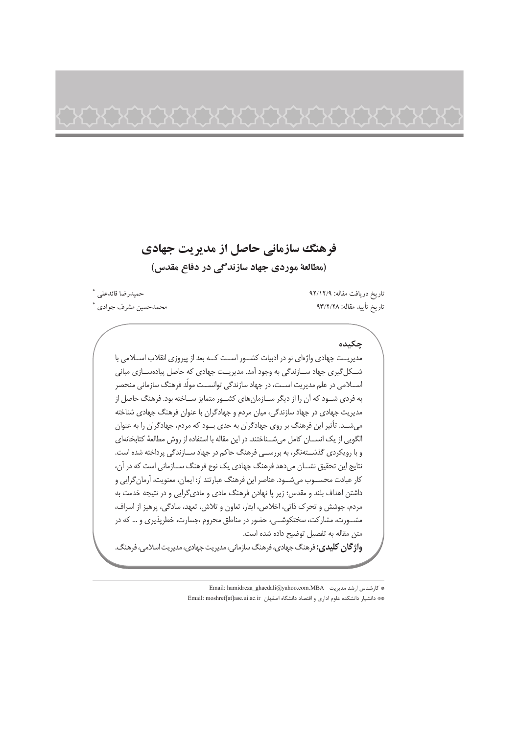# فرهنگ سازمانی حاصل از مدیریت جهادی (مطالعة موردي جهاد سازندگي در دفاع مقدس)

# حمىدرضا قائدعلى \* محمدحسين مشرف جوادي \*

تاريخ دريافت مقاله: ٩٢/١٢/٩ تاريخ تأييد مقاله: ٩٣/٢/٢٨

### جكىدە

مدیریــت جهادی واژهای نو در ادبیات کشــور اســت کــه بعد از پیروزی انقلاب اســلامی با شکل گیری جهاد سازندگی به وجود آمد. مدیریت جهادی که حاصل پیادهسازی مبانی اســـلامی در علم مدیریت اســت، در جهاد سازندگی توانســت مولّد فرهنگ سازمانی منحصر به فردی شــود که آن را از دیگر ســازمانهای کشــور متمایز ســاخته بود. فرهنگ حاصل از مدیریت جهادی در جهاد سازندگی، میان مردم و جهادگران با عنوان فرهنگ جهادی شناخته می شد. تأثیر این فرهنگ بر روی جهادگران به حدی بود که مردم، جهادگران را به عنوان الگویی از یک انســان کامل میشــناختند. در این مقاله با استفاده از روش مطالعهٔ کتابخانهای و با رویکردی گذشتهنگر، به بررسـی فرهنگ حاکم در جهاد ســازندگی پرداخته شده است. نتايج اين تحقيق نشــان مى دهد فرهنگ جهادى يک نوع فرهنگ ســازمانى است که در آن، كار عبادت محســوب مىشــود. عناصر اين فرهنگ عبارتند از: ايمان، معنويت، آرمان گرايى و داشتن اهداف بلند و مقدس؛ زیر پا نهادن فرهنگ مادی و مادی گرایی و در نتیجه خدمت به مردم، جوشش و تحرک ذاتی، اخلاص، ایثار، تعاون و تلاش، تعهد، سادگی، پرهیز از اسراف، مشــورت، مشارکت، سختکوشــی، حضور در مناطق محروم ،جسارت، خطرپذیری و … که در متن مقاله به تفصيل توضيح داده شده است. **واژگان کلیدی:** فرهنگ جهادی، فرهنگ سازمانی، مدیریت جهادی، مدیریت اسلامی، فرهنگ.

\* كارشناس ارشد مديريت . Email: hamidreza ghaedali@yahoo.com.MBA

\*\* دانشيار دانشكده علوم اداري و اقتصاد دانشگاه اصفهان Email: moshref[at]ase.ui.ac.ir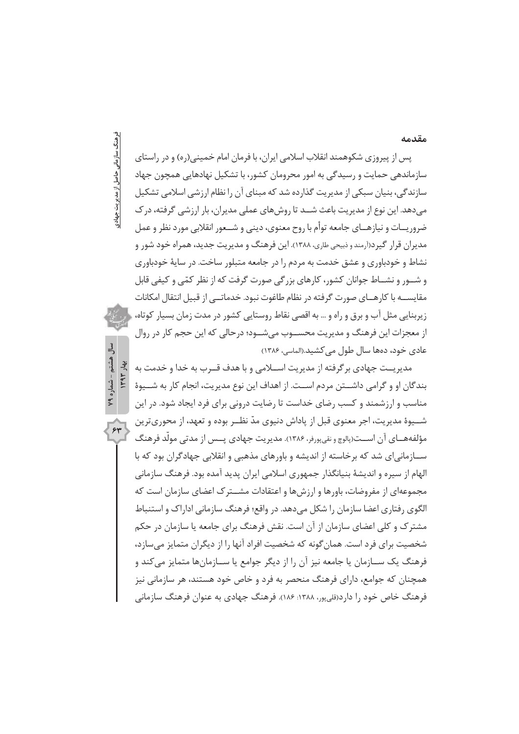### مقدمه

# فرهنگ سازمانی حاصل از مدیریت جهادی

سال هشتم - شماره ۷۹

 $\overline{\mathbf{r}}$ 

یس از پیروزی شکوهمند انقلاب اسلامی ایران، با فرمان امام خمینی(ره) و در راستای سازماندهی حمایت و رسیدگی به امور محرومان کشور، با تشکیل نهادهایی همچون جهاد سازندگی، بنیان سبکی از مدیریت گذارده شد که مبنای آن را نظام ارزشی اسلامی تشکیل مے دھد. این نوع از مدیریت باعث شــد تا روش ھای عملی مدیران، بار ارزشی گرفته، در ک ضروريــات و نيازهــاي جامعه توأم با روح معنوي، ديني و شــعور انقلابي مورد نظر و عمل مدیران قرار گیرد(آرمندوذبیحی طاری، ۱۳۸۸). این فرهنگ و مدیریت جدید، همراه خود شور و نشاط و خودباوری و عشق خدمت به مردم را در جامعه متبلور ساخت. در سایهٔ خودباوری و شــور و نشــاط جوانان کشور، کارهای بزرگی صورت گرفت که از نظر کمّی و کیفی قابل مقایســـه با کارهـــای صورت گرفته در نظام طاغوت نبود. خدماتـــی از قبیل انتقال امکانات زیربنایی مثل آب و برق و راه و … به اقصی نقاط روستایی کشور در مدت زمان بسیار کوتاه، از معجزات این فرهنگ و مدیریت محسـوب میشـود؛ درحالی که این حجم کار در روال عادی خود، دەھا سال طول مے کشید.(الماسی، ۱۳۸۶)

ITAY Jue مديريــت جهادي برگرفته از مديريت اســـلامي و با هدف قــرب به خدا و خدمت به بندگان او و گرامی داشــتن مردم اســت. از اهداف این نوع مدیریت، انجام کار به شــیوهٔ مناسب و ارزشمند و کسب رضای خداست تا رضایت درونی برای فرد ایجاد شود. در این شـــيوهٔ مديريت، اجر معنوي قبل از پاداش دنيوي مدّ نظــر بوده و تعهد، از محوريترين مؤلفههــاي آن اســت(پالوچ و نقي پورفر، ١٣٨۶). مديريت جهادي پــس از مدتي مولَّد فرهنگ ســازمانی|ی شد که برخاسته از اندیشه و باورهای مذهبی و انقلابی جهادگران بود که با الهام از سیره و اندیشهٔ بنیانگذار جمهوری اسلامی ایران پدید آمده بود. فرهنگ سازمانی مجموعهای از مفروضات، باورها و ارزشها و اعتقادات مشــترک اعضای سازمان است که الگوی رفتاری اعضا سازمان را شکل میدهد. در واقع؛ فرهنگ سازمانی اداراک و استنباط مشترک و کلی اعضای سازمان از آن است. نقش فرهنگ برای جامعه یا سازمان در حکم شخصیت برای فرد است. همان گونه که شخصیت افراد آنها را از دیگران متمایز می سازد، فرهنگ یک ســازمان یا جامعه نیز آن را از دیگر جوامع یا ســازمانها متمایز می کند و همچنان که جوامع، دارای فرهنگ منحصر به فرد و خاص خود هستند، هر سازمانی نیز فرهنگ خاص خود را دارد(قليپور، ۱۳۸۸؛ ۱۸۶). فرهنگ جهادي به عنوان فرهنگ سازماني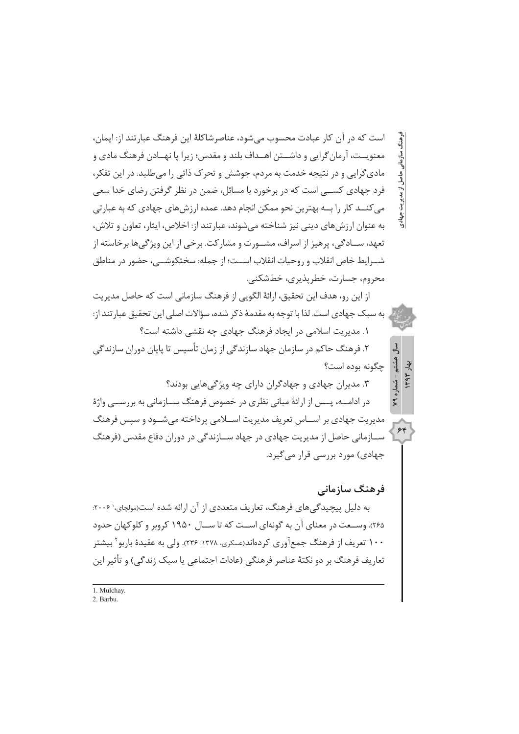است که در آن کار عبادت محسوب می شود، عناصرشاکلهٔ این فرهنگ عبارتند از: ایمان، معنویــت، آرمان گرایی و داشــتن اهــداف بلند و مقدس؛ زیرا یا نهــادن فرهنگ مادی و مادیگرایی و در نتیجه خدمت به مردم، جوشش و تحرک ذاتی را می طلبد. در این تفکر، فرد جهادی کســـی است که در برخورد با مسائل، ضمن در نظر گرفتن رضای خدا سعی می کنــد کار را بــه بهترین نحو ممکن انجام دهد. عمده ارزش های جهادی که به عبارتی به عنوان ارزش های دینی نیز شناخته می شوند، عبارتند از: اخلاص، ایثار، تعاون و تلاش، تعهد، ســادگی، پرهیز از اسراف، مشــورت و مشارکت. برخی از این ویژگیها برخاسته از شــرابط خاص انقلاب و , وحیات انقلاب اســت؛ از جمله: سختکوشـــی، حضور در مناطق محروم، جسارت، خطريذيري، خطشكني.

از این رو، هدف این تحقیق، ارائهٔ الگویی از فرهنگ سازمانی است که حاصل مدیریت یبه سبک جهادی است. لذا با توجه به مقدمهٔ ذکر شده، سؤالات اصلی این تحقیق عبارتند از: ١. مدیریت اسلامی در ایجاد فرهنگ جهادی چه نقشی داشته است؟

۲. فرهنگ حاکم در سازمان جهاد سازندگی از زمان تأسیس تا پایان دوران سازندگی چگونه بوده است؟

۳. مدیران جهادی و جهادگران دارای چه ویژگیهایی بودند؟

در ادامـــه، پـــس از ارائهٔ مبانی نظری در خصوص فرهنگ ســـازمانی به بررســـی واژهٔ مدیریت جهادی بر اســاس تعریف مدیریت اســلامی پرداخته می شــود و سیس فرهنگ ســازمانی حاصل از مدیریت جهادی در جهاد ســازندگی در دوران دفاع مقدس (فرهنگ جهادی) مورد بررسی قرار می گیرد.

# فرهنگ سازمانی

ِ مدیریت جهادی

هشتم ېۋ

شماره ۷۹

 $\gamma$ 

به دلیل پیچیدگیهای فرهنگ، تعاریف متعددی از آن ارائه شده است(مولچای، ۲۰۰۶: ۲۶۵). وســعت در معناي آن به گونهاي اســت كه تا ســال ۱۹۵۰ كروبر و كلوكهان حدود ۱۰۰ تعریف از فرهنگ جمعآوری کردهاند(عسکری، ۱۳۷۸؛ ۲۳۶). ولی به عقیدهٔ باربو` بیشتر تعاریف فرهنگ بر دو نکتهٔ عناصر فرهنگی (عادات اجتماعی یا سبک زندگی) و تأثیر این

1 Mulchay 2. Barbu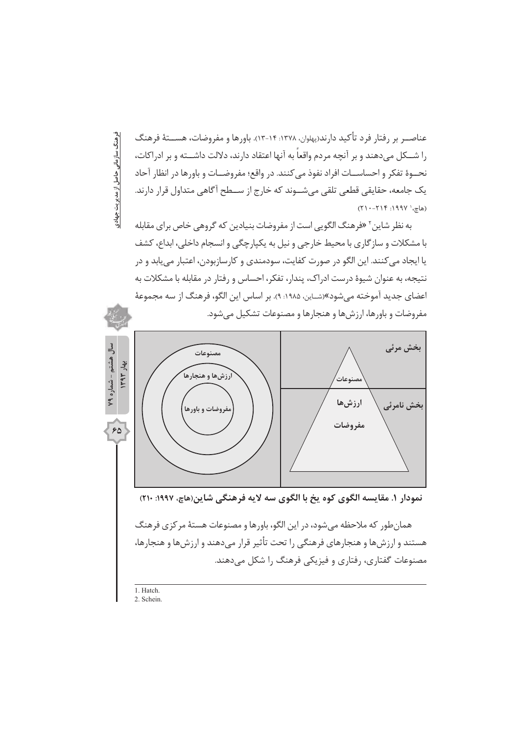عناصــر بر رفتار فرد تأكيد دارند(پهلوان، ۱۳۷۸: ۱۴-۱۳). باورها و مفروضات، هســـتهٔ فرهنگ را شــكل مى‹هند و بر آنچه مردم واقعاً به آنها اعتقاد دارند، دلالت داشــته و بر ادراكات، نحــوهٔ تفکر و احساســات افراد نفوذ می کنند. در واقع؛ مفروضــات و باورها در انظار آحاد یک جامعه، حقایقی قطعی تلقی میشــوند که خارج از ســطح آگاهی متداول قرار دارند. (هاچ، ' ۱۹۹۷: ۲۱۴-۲۱۰)

به نظر شاین<sup>۲</sup> «فرهنگ الگویی است از مفروضات بنیادین که گروهی خاص برای مقابله با مشکلات و سازگاری با محیط خارجی و نیل به یکپارچگی و انسجام داخلی، ابداع، کشف يا ايجاد مي كنند. اين الگو در صورت كفايت، سودمندي و كارسازبودن، اعتبار مي يابد و در نتیجه، به عنوان شیوهٔ درست ادراک، پندار، تفکر، احساس و رفتار در مقابله با مشکلات به اعضای جدید آموخته می شود»(شـاین، ۱۹۸۵: ۹). بر اساس این الگو، فرهنگ از سه مجموعهٔ مفروضات و باورها، ارزشها و هنجارها و مصنوعات تشكيل مى شود.



1 Hatch

فرهنگ سازمانی حاصل از مدیریت جهادی

2. Schein.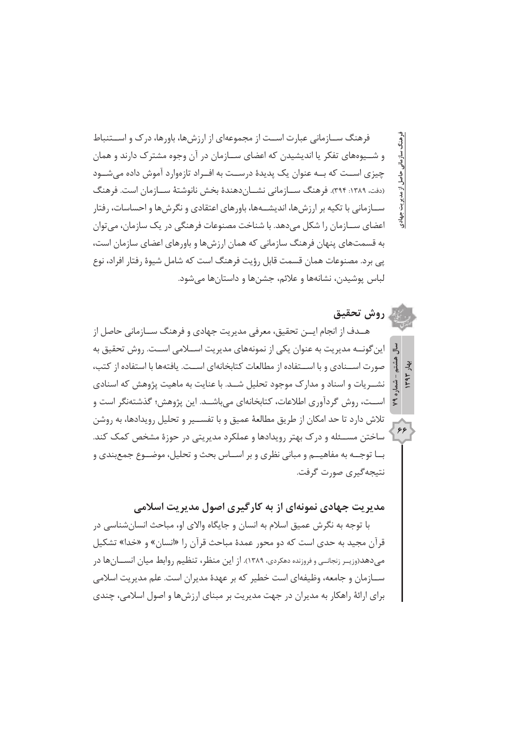فرهنگ ســازمانی عبارت اســت از مجموعهای از ارزشها، باورها، درک و اســتنباط و شــيوههاي تفكر يا انديشيدن كه اعضاي ســازمان در آن وجوه مشترك دارند و همان چیزی اسـت که بــه عنوان یک پدیدهٔ درسـت به افــراد تازموارد آموش داده می شــود (دفت، ۱۳۸۹: ۳۹۴). فرهنگ ســـازمانی نشـــانِدهندهٔ بخش نانوشتهٔ ســـازمان است. فرهنگ ســازمانی با تکیه بر ارزشها، اندیشــهها، باورهای اعتقادی و نگرشها و احساسات، رفتار اعضای ســازمان را شکل می دهد. با شناخت مصنوعات فرهنگی در یک سازمان، می توان به قسمتهای پنهان فرهنگ سازمانی که همان ارزشها و باورهای اعضای سازمان است، یے ہرد. مصنوعات همان قسمت قابل رؤیت فرهنگ است که شامل شیوهٔ رفتار افراد، نوع لباس يوشيدن، نشانهها و علائم، جشنها و داستانها می شود.

بريت جهادى

 $55$ 

روش تحقيق هــدف از انجام ايـــن تحقيق، معرفي مديريت جهادي و فرهنگ ســـازماني حاصل از این گونــه مدیریت به عنوان یکی از نمونههای مدیریت اســلامی اســت. روش تحقیق به صورت اســنادي و با اســتفاده از مطالعات كتابخانهاي اســت. يافتهها با استفاده از كتب، نشــریات و اسناد و مدارک موجود تحلیل شــد. با عنایت به ماهیت پژوهش که اسنادی اســت، روش گردآوري اطلاعات، كتابخانهاي مي باشــد. اين پژوهش؛ گذشتهنگر است و تلاش دارد تا حد امکان از طریق مطالعهٔ عمیق و با تفســیر و تحلیل رویدادها، به روشن ساختن مســئله و درک بهتر رویدادها و عملکرد مدیریتی در حوزهٔ مشخص کمک کند. بــا توجــه به مفاهيـــم و مباني نظري و بر اســاس بحث و تحليل، موضــوع جمع بندي و نتيجەگیرى صورت گرفت.

مدیریت جهادی نمونهای از به کارگیری اصول مدیریت اسلامی

با توجه به نگرش عمیق اسلام به انسان و جایگاه والای او، مباحث انسان شناسی در قرآن مجید به حدی است که دو محور عمدهٔ مباحث قرآن را «انسان» و «خدا» تشکیل مے دھد(وزیبر زنجانے) و فروزندہ دھکردی، ۱۳۸۹). از این منظر، تنظیم روابط میان انسسان ھا در ســازمان و جامعه، وظیفهای است خطیر که بر عهدهٔ مدیران است. علم مدیریت اسلامی برای ارائهٔ راهکار به مدیران در جهت مدیریت بر مبنای ارزش ها و اصول اسلامی، چندی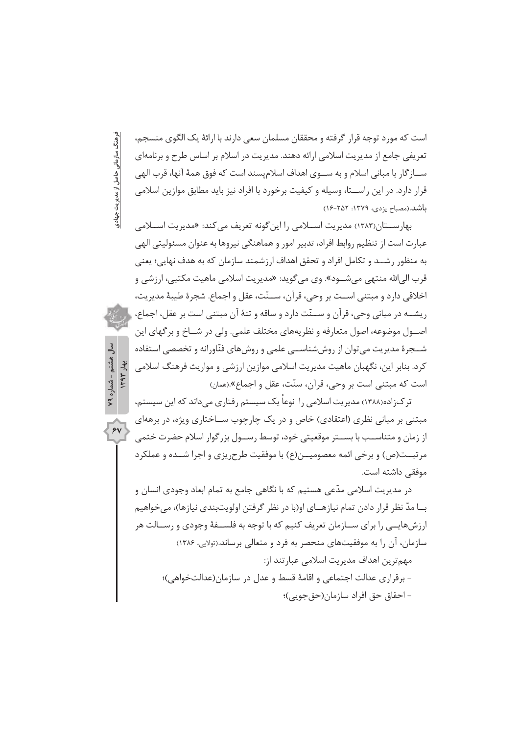است که مورد توجه قرار گرفته و محققان مسلمان سعی دارند با ارائهٔ یک الگوی منسجم، تعریفی جامع از مدیریت اسلامی ارائه دهند. مدیریت در اسلام بر اساس طرح و برنامهای ســـاز گار با مبانی اسلام و به ســـوی اهداف اسلامیسند است که فوق همهٔ آنها، قرب الهی قرار دارد. در این راســتا، وسیله و کیفیت برخورد با افراد نیز باید مطابق موازین اسلامی باشد.(مصباح یزدی، ۱۳۷۹: ۱۶-۱۶)

فرهنگ سازمانی حاصل از مدیریت جهادی

, هشتم - شماره ۷۹  $1494$   $142$ 

 $\overline{\gamma}$ 

بهارســـتان(١٣٨٣) مديريت اســـلامي ,ا اين گونه تعريف مي كند: «مديريت اســـلامي عبارت است از تنظیم روابط افراد، تدبیر امور و هماهنگی نیروها به عنوان مسئولیتی الهی به منظور رشــد و تكامل افراد و تحقق اهداف ارزشمند سازمان كه به هدف نهايي؛ يعني قرب الي الله منتهي مي شــود». وي مي گويد: «مديريت اسلامي ماهيت مكتبي، ارزشي و اخلاقي دارد و مبتني اســت بر وحي، قرآن، ســنّت، عقل و اجماع. شجرهٔ طيبهٔ مديريت، ريشــه در مباني وحي، قرآن و ســنّت دارد و ساقه و تنهٔ آن مبتني است بر عقل، اجماع، إ اصــول موضوعه، اصول متعارفه و نظريههاي مختلف علمي. ولي در شــاخ و برگهاي اين شــجرهٔ مدیریت مے توان از روش شناســے علمے و روش های فنّاورانه و تخصصے استفاده کرد. بنابر این، نگهبان ماهیت مدیریت اسلامی موازین ارزشی و مواریث فرهنگ اسلامی است که مبتنی است بر وحی، قرآن، سنّت، عقل و اجماع».(همان)

تر ک;اده(۱۳۸۸) مدیریت اسلامی را نوعاً یک سیستم رفتاری می داند که این سیستم، مبتنی بر مبانی نظری (اعتقادی) خاص و در یک چارچوب ســاختاری ویژه، در برههای از زمان و متناسـب با بســتر موقعيتي خود، توسط رســول بزرگوار اسلام حضرت ختمي مرتبــت(ص) و برخی ائمه معصومیــن(ع) با موفقیت طرح, یزی و اجرا شــده و عملکرد موفقی داشته است.

در مدیریت اسلامی مدّعی هستیم که با نگاهی جامع به تمام ابعاد وجودی انسان و بــا مدّ نظر قرار دادن تمام نیازهــای او(با در نظر گرفتن اولویتبندی نیازها)، میخواهیم ارزشهایــی را برای ســازمان تعریف کنیم که با توجه به فلســفهٔ وجودی و رســالت هر سازمان، آن را به موفقیتهای منحصر به فرد و متعالی برساند.(تولایی، ۱۳۸۶) مهم ترین اهداف مدیریت اسلامی عبارتند از: - برقراري عدالت اجتماعي و اقامهٔ قسط و عدل در سازمان(عدالتخواهي)؛ – احقاق حق افراد سازمان(حق جويي)؛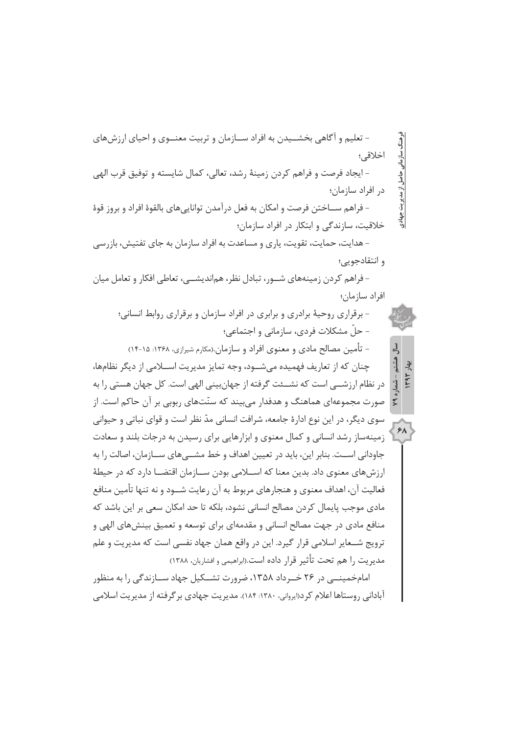- تعلیم و آگاهی بخشــیدن به افراد ســازمان و تربیت معنــوی و احیای ارزشهای اخلاقى؛ - ايجاد فرصت و فراهم كردن زمينهٔ رشد، تعالى، كمال شايسته و توفيق قرب الهي ماصل آتر مدیریت جهادی در افراد سازمان؛ – فراهم ســـاخـتن فرصت و امكان به فعل درآمدن توانايے هاى بالقوۂ افراد و بروز قوۂ خلاقیت، سازندگی و ابتکار در افراد سازمان؛ - هدایت، حمایت، تقویت، یاری و مساعدت به افراد سازمان به جای تفتیش، بازرسی و انتقادجویے؛ - فراهم کردن زمینههای شــور، تبادل نظر، هماندیشــی، تعاطی افکار و تعامل میان افراد سازمان؛

- برقراری روحیهٔ برادری و برابری در افراد سازمان و برقراری روابط انسانی؛ - حلّ مشکلات فردی، سازمانی و اجتماعی؛

لحا هشتو بو

شماره

 $P$ 

– تأمین مصالح مادی و معنوی افراد و سازمان.(مکارم شیرازی، ۱۳۶۸: ۱۵-۱۴) چنان که از تعاریف فهمیده می شـود، وجه تمایز مدیریت اســلامی از دیگر نظامها، در نظام ارزشــی است که نشــئت گرفته از جهانبینی الهی است. کل جهان هستی را به صورت مجموعهای هماهنگ و هدفدار می بیند که سنّتهای ربوبی بر آن حاکم است. از سوی دیگر، در این نوع ادارهٔ جامعه، شرافت انسانی مدّ نظر است و قوای نباتی و حیوانی زمینهساز رشد انسانی و کمال معنوی و ابزارهایی برای رسیدن به درجات بلند و سعادت جاودانی اســت. بنابر این، باید در تعیین اهداف و خط مشــی۵مای ســازمان، اصالت را به

ارزش های معنوی داد. بدین معنا که اســـلامی بودن ســـازمان اقتضــا دارد که در حیطهٔ فعالیت آن، اهداف معنوی و هنجارهای مربوط به آن رعایت شــود و نه تنها تأمین منافع مادی موجب پایمال کردن مصالح انسانی نشود، بلکه تا حد امکان سعی بر این باشد که منافع مادی در جهت مصالح انسانی و مقدمهای برای توسعه و تعمیق بینش های الهی و ترويج شــعاير اسلامي قرار گيرد. اين در واقع همان جهاد نفسي است كه مديريت و علم مدبر بت ,ا هم تحت تأثير قرار داده است.(ابراهيمي و افشاريان، ١٣٨٨)

امامخمینے در ۲۶ خبرداد ۱۳۵۸، ضرورت تشبکیل جهاد سیازندگی را به منظور آبادانی روستاها اعلام کرد(ایروانی، ۱۳۸۰؛ ۱۸۴). مدیریت جهادی بر گرفته از مدیریت اسلامی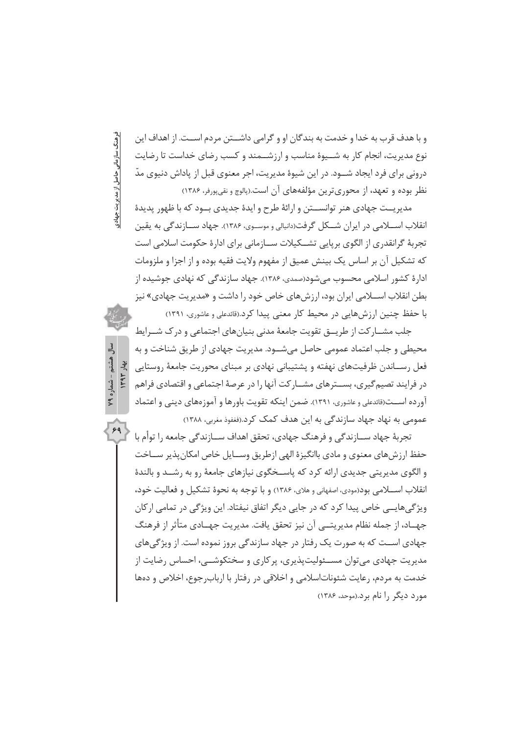و با هدف قرب به خدا و خدمت به بندگان او و گرامی داشـــتن مردم اســت. از اهداف این نوع مدیریت، انجام کار به شــیوهٔ مناسب و ارزشــمند و کسب رضای خداست تا رضایت درونی برای فرد ایجاد شــود. در این شیوهٔ مدیریت، اجر معنوی قبل از یاداش دنیوی مدّ نظر بوده و تعهد، از محوری ترین مؤلفههای آن است.(پالوچ و نقی پورفر، ۱۳۸۶)

فرهنگ سازمانی حاصل از مدیریت جهادی

هشتم - شماره ۷۹ **1494** Jet

 $59$ 

مدیریــت جهادی هنر توانســتن و ارائهٔ طرح و ایدهٔ جدیدی بــود که با ظهور پدیدهٔ انقلاب اســـلامـی در ایران شـــکل گرفت(دانیالی و موســوی، ۱۳۸۶). جهاد ســـازندگـی به یقین تجربهٔ گرانقدری از الگوی برپایی تشــکیلات ســازمانی برای ادارهٔ حکومت اسلامی است که تشکیل آن بر اساس یک بینش عمیق از مفهوم ولایت فقیه بوده و از اجزا و ملزومات ادارهٔ کشور اسلامی محسوب می شود(صمدی، ۱۳۸۶). جهاد سازندگی که نهادی جوشیده از بطن انقلاب اســلامی ایران بود، ارزشهای خاص خود را داشت و «مدیریت جهادی» نیز با حفظ چنین ارزش هایی در محیط کار معنی پیدا کرد.(قائدعلی و عاشوری، ۱۳۹۱)

جلب مشـــار كت از طريـــق تقويت جامعهٔ مدنى بنيانهاى اجتماعى و در ک شـــرايط محيطي و جلب اعتماد عمومي حاصل مي شــود. مديريت جهادي از طريق شناخت و به فعل رســاندن ظرفیتهای نهفته و یشتیبانی نهادی بر مبنای محوریت جامعهٔ روستایی در فرایند تصیم گیری، بســترهای مشــار کت آنها را در عرصهٔ اجتماعی و اقتصادی فراهم آور ده اســت(قائدعلی و عاشوری، ۱۳۹۱). ضمن اینکه تقویت باورها و آموز مهای دینی و اعتماد عمومی به نهاد جهاد سازندگی به این هدف کمک کرد.(فغفوذ مغربی، ۱۳۸۸)

تجربهٔ جهاد ســازندگی و فرهنگ جهادی، تحقق اهداف ســازندگی جامعه را توأم با حفظ ارزشهای معنوی و مادی باانگیزهٔ الهی ازطریق وسـایل خاص امکان پذیر سـاخت و الگوی مدیریتی جدیدی ارائه کرد که پاســخگوی نیازهای جامعهٔ رو به رشــد و بالندهٔ انقلاب اســــلامي بود(مودي، اصفهاني و هلاي، ۱۳۸۶) و با توجه به نحوهٔ تشکيل و فعاليت خود، ویژگیهایــی خاص پیدا کرد که در جایی دیگر اتفاق نیفتاد. این ویژگی در تمامی ارکان جهــاد، از جمله نظام مدیریتـــی آن نیز تحقق یافت. مدیریت جهــادی متأثر از فرهنگ جهادی اسـت که به صورت یک رفتار در جهاد سازندگی بروز نموده است. از ویژگیهای مدیریت جهادی می توان مســئولیت پذیری، پر کاری و سختکوشــی، احساس رضایت از خدمت به مردم، رعايت شئوناتاسلامي و اخلاقي در رفتار با ارباب جوع، اخلاص و دهها مورد دیگر را نام برد.(موحد، ۱۳۸۶)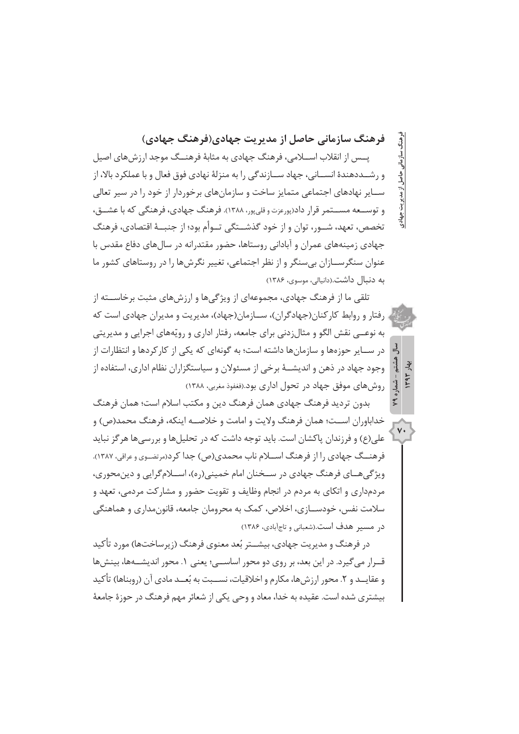فرهنگ سازمانی حاصل از مدیریت جهادی(فرهنگ جهادی) یــس از انقلاب اســلامی، فرهنگ جهادی به مثابهٔ فرهنــگ موجد ارزش های اصیل و رشــددهندهٔ انســانی، جهاد ســازندگی را به منزلهٔ نهادی فوق فعال و با عملکرد بالا، از ســایر نهادهای اجتماعی متمایز ساخت و سازمانهای برخوردار از خود را در سیر تعالی

و توســعه مســتمر قرار داد(پورعزت وقلي یور، ۱۳۸۸). فرهنگ جهادي، فرهنگي كه با عشــق، تخصص، تعهد، شــور، توان و از خود گذشــتگی تــوأم بود؛ از جنبــهٔ اقتصادی، فرهنگ جهادی زمینههای عمران و آبادانی روستاها، حضور مقتدرانه در سال های دفاع مقدس با عنوان سنگرســازان بي سنگر و از نظر اجتماعي، تغيير نگرش ها را در روستاهاي كشور ما به دنبال داشت.(دانیالی، موسوی، ۱۳۸۶)

تلقی ما از فرهنگ جهادی، مجموعهای از ویژگیها و ارزشهای مثبت برخاســته از رفتار و روابط کار کنان(جهادگران)، سازمان(جهاد)، مدیریت و مدیران جهادی است که به نوعــی نقش الگو و مثال;دنی برای جامعه، رفتار اداری و رویّههای اجرایی و مدیریتی در ســایر حوزهها و سازمانها داشته است؛ به گونهای که یکی از کارکردها و انتظارات از وجود جهاد در ذهن و اندیشــهٔ برخی از مسئولان و سیاستگزاران نظام اداری، استفاده از روش های موفق جهاد در تحول اداری بود.(فغفوذ مغربی، ۱۳۸۸)

بدون تردید فرهنگ جهادی همان فرهنگ دین و مکتب اسلام است؛ همان فرهنگ خداباوران اســت؛ همان فرهنگ ولايت و امامت و خلاصــه اينكه، فرهنگ محمد(ص) و علي(ع) و فرزندان پاکشان است. بايد توجه داشت که در تحليلها و بررسي ها هر گز نبايد

 $\mathsf{v}\cdot$ 

فرهنــگ جهادي را از فرهنگ اســلام ناب محمدي(ص) جدا كرد(مرتضــوي و عراقي، ١٣٨٧). ویژگی هــای فرهنگ جهادی در ســخنان امام خمینی(ره)، اســلامگرایی و دین محوری، مردمداری و اتکای به مردم در انجام وظایف و تقویت حضور و مشارکت مردمی، تعهد و سلامت نفس، خودســازي، اخلاص، كمک به محرومان جامعه، قانون،مداري و هماهنگي در مسیر هدف است.(شعبانی و تاجآبادی، ۱۳۸۶)

در فرهنگ و مدیریت جهادی، بیشــتر بُعد معنوی فرهنگ (زیرساختها) مورد تأکید قــرار می گیرد. در این بعد، بر روی دو محور اساســی؛ یعنی ۱. محور اندیشــهها، بینشها و عقايــد و ٢. محور ارزشها، مكارم و اخلاقيات، نســبت به بُعــد مادى آن (روبناها) تأكيد بیشتری شده است. عقیده به خدا، معاد و وحی یکی از شعائر مهم فرهنگ در حوزهٔ جامعهٔ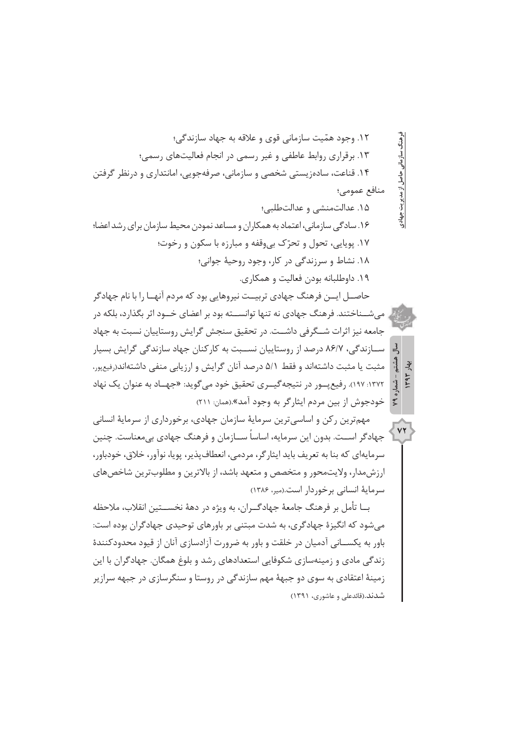١٢. وجود همّيت سازماني قوى و علاقه به جهاد سازندگي؛ رهنگ سازمانے ١٣. برقراري روابط عاطفي و غير رسمي در انجام فعاليتهاي رسمي؛ ۱۴. قناعت، ساده; یستی شخصی و سازمانی، صرفهجویی، امانتداری و درنظر گرفتن حاصل از مدیریت جهادی منافع عمومي؛ ۱۵. عدالتمنشی و عدالتطلبی؛

۱۶. سادگی سازمانی، اعتماد به همکاران و مساعد نمودن محیط سازمان برای رشد اعضا؛ ١٧. يويايي، تحول و تحرّك بي وقفه و مبارزه با سكون و رخوت؛ ١٨. نشاط و سرزندگی در کار، وجود روحيهٔ جوانی؛ ۱۹. داوطلبانه بودن فعالیت و همکاری.

حاصــل ایـــن فرهنگ جهادی تربیــت نیروهایی بود که مردم آنهــا را با نام جهادگر می شــناختند. فرهنگ جهادی نه تنها توانســته بود بر اعضای خــود اثر بگذارد، بلکه در جامعه نیز اثرات شــگرفی داشــت. در تحقیق سنجش گرایش روستاییان نسبت به جهاد ســازندگے، ۸۶/۷ درصد از روستاییان نســیت به کارکنان چهاد سازندگے گرایش بسیار مثبت یا مثبت داشتهاند و فقط ۵/۱ درصد آنان گرایش و ارزیابی منفی داشتهاند(رفیعپور، ۱۳۷۲: ۱۹۷). رفیع پور در نتیجه گیبری تحقیق خود می گوید: «جهناد به عنوان یک نهاد خودجوش از بین مردم ایثار گر به وجود آمد».(همان: ۲۱۱)

」 استس<br>ما ېۋ

VT

مهمترین رکن و اساسیترین سرمایهٔ سازمان جهادی، برخورداری از سرمایهٔ انسانی جهادگر اســت. بدون این سرمایه، اساساً ســازمان و فرهنگ جهادی بی،معناست. چنین سرمايهاي كه بنا به تعريف بايد ايثارگر، مردمي، انعطاف پذير، پويا، نوآور، خلاق، خودباور، ارزش،مدار، ولایت،محور و متخصص و متعهد باشد، از بالاترین و مطلوبترین شاخص،های سرمایهٔ انسانی برخوردار است.(میر، ۱۳۸۶)

بــا تأمل بر فرهنگ جامعهٔ جهادگــران، به ویژه در دههٔ نخســـتین انقلاب، ملاحظه می شود که انگیزهٔ جهادگری، به شدت مبتنی بر باورهای توحیدی جهادگران بوده است: باور به یکســانی آدمیان در خلقت و باور به ضرورت آزادسازی آنان از قیود محدودکنندهٔ زندگی مادی و زمینهسازی شکوفایی استعدادهای رشد و بلوغ همگان. جهادگران با این زمینهٔ اعتقادی به سوی دو جیههٔ مهم سازندگی در روستا و سنگرسازی در جیهه سرازیر شدند.(قائدعلی و عاشوری، ۱۳۹۱)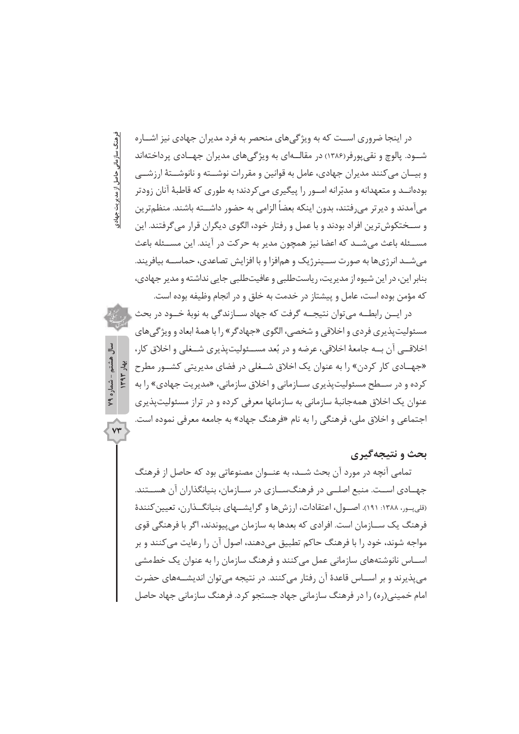در اینجا ضروری اســت که به ویژگیهای منحصر به فرد مدیران جهادی نیز اشــاره شــود. پالوچ و نقی پورفر(۱۳۸۶) در مقالــهای به ویژگیهای مدیران جهــادی پرداختهاند و بيــان مي كنند مديران جهادي، عامل به قوانين و مقررات نوشـــته و نانوشــتهٔ ارزشــي بودهانــد و متعهدانه و مدبّرانه امــور را پیگیری می کردند؛ به طوری که قاطبهٔ آنان زودتر میآمدند و دیرتر میرفتند، بدون اینکه بعضا الزامی به حضور داشــته باشند. منظمترین و ســختکوش ترین افراد بودند و با عمل و رفتار خود، الگوی دیگران قرار می گرفتند. این مســئله باعث مي شــد كه اعضا نيز همچون مدير به حركت در آيند. اين مســئله باعث می شــد انرژیها به صورت ســینرژیک و همافزا و با افزایش تصاعدی، حماســه بیافریند. بنابر این، در این شیوه از مدیریت، ریاستطلبی و عافیتطلبی جایی نداشته و مدیر جهادی، كه مؤمن بوده است، عامل و پیشتاز در خدمت به خلق و در انجام وظیفه بوده است.

فرهنگ سازمانی حاصل از مدیریت جهادی

هشتم - شماره ۷۹

 $YY$ 

در ایــن رابطــه مے توان نتیجــه گرفت که جهاد ســازندگی به نوبهٔ خــود در بحث مسئوليت پذيري فردي و اخلاقي و شخصي، الگوي «جهادگر » ,ا با همهٔ ابعاد و ويژگي هاي اخلاقــي آن بــه جامعهٔ اخلاقي، عرضه و در بُعد مســئوليت پذيري شــغلي و اخلاق کار، بهار ١٣٩٣ «جهــادي كار كردن» را به عنوان يک اخلاق شــغلي در فضاي مديريتي كشــور مطرح کرده و در ســطح مسئولیتپذیری ســازمانی و اخلاق سازمانی، «مدیریت جهادی» را به عنوان یک اخلاق همهجانبهٔ سازمانی به سازمانها معرفی کرده و در تراز مسئولیتپذیری اجتماعي و اخلاق ملي، فرهنگي را به نام «فرهنگ جهاد» به جامعه معرفي نموده است.

### بحث و نتیجهگیری

تمامی آنچه در مورد آن بحث شــد، به عنــوان مصنوعاتی بود که حاصل از فرهنگ جهـادي اســت. منبع اصلــي در فرهنگــســازي در ســازمان، بنيانگذاران آن هســتند. (قلی در، ۱۳۸۸: ۱۹۱). اصـول، اعتقادات، ارزشها و گرایشــهای بنیانگــذارن، تعیین کنندهٔ فرهنگ يک ســـازمان است. افرادي که بعدها به سازمان مي پيوندند، اگر با فرهنگي قوي مواجه شوند، خود را با فرهنگ حاکم تطبیق میدهند، اصول آن را رعایت میکنند و بر اســاس نانوشتههای سازمانی عمل می کنند و فرهنگ سازمان را به عنوان یک خطمشی مے پذیرند و ہر اســاس قاعدۂ آن رفتار مے کنند. در نتیجه مے توان اندیشــههای حضرت امام خمینے (رہ) را در فرھنگ سازمانی جھاد جستجو کرد. فرھنگ سازمانی جھاد حاصل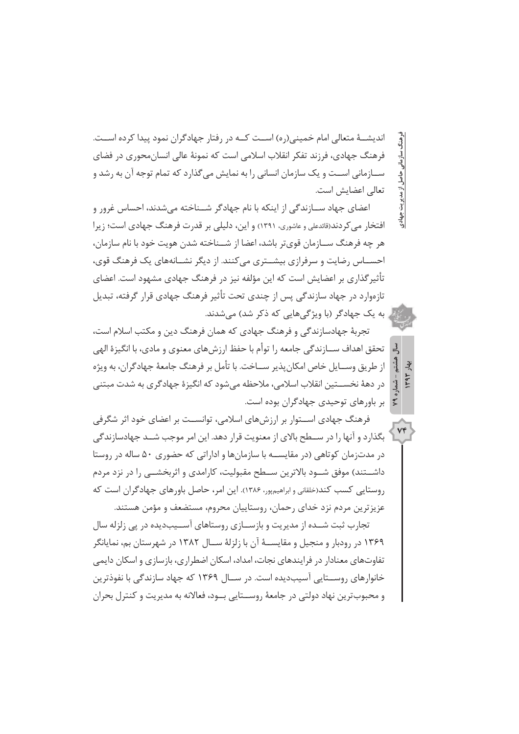اندیشــهٔ متعالی امام خمینی(ره) اســت کــه در رفتار جهادگران نمود پیدا کرده اســت. فرهنگ جهادی، فرزند تفکر انقلاب اسلامی است که نمونهٔ عالی انسان،حوری در فضای ســازماني اســت و يک سازمان انساني را به نمايش مي گذارد که تمام توجه آن به رشد و تعالى اعضايش است.

ز مدیریت جهادی

 $\mathbb{R}$ ېۋ

 $Vf$ 

اعضای جهاد ســازندگی از اینکه با نام جهادگر شــناخته می شدند، احساس غرور و افتخار می کردند(قائدعلی و عاشوری، ۱۳۹۱) و این، دلیلی بر قدرت فرهنگ جهادی است؛ زیرا هر چه فرهنگ ســازمان قوي¤ر باشد، اعضا از شــناخته شدن هويت خود با نام سازمان، احســاس رضایت و سرفرازی بیشــتری می کنند. از دیگر نشــانههای یک فرهنگ قوی، تأثیر گذاری بر اعضایش است که این مؤلفه نیز در فرهنگ جهادی مشهود است. اعضای تازهوارد در جهاد سازندگی پس از چندی تحت تأثیر فرهنگ جهادی قرار گرفته، تبدیل ِ به یک جهادگر (با ویژگی هایی که ذکر شد) می شدند.

تجربهٔ جهادسازندگی و فرهنگ جهادی که همان فرهنگ دین و مکتب اسلام است، تحقق اهداف ســازندگی جامعه را توأم با حفظ ارزشهای معنوی و مادی، با انگیزهٔ الهی از طريق وســايل خاص امكان يذير ســاخت. با تأمل بر فرهنگ جامعهٔ جهادگران، به ويژه در دههٔ نخســتین انقلاب اسلامی، ملاحظه میشود که انگیزهٔ جهادگری به شدت مبتنی بر باورهای توحیدی جهادگران بوده است.

فرهنگ جهادی اســتوار بر ارزش های اسلامی، توانســت بر اعضای خود اثر شگرفی بگذارد و آنها را در ســطح بالای از معنویت قرار دهد. این امر موجب شــد جهادسازندگی در مدتزمان کوتاهی (در مقایســه با سازمانها و اداراتی که حضوری ۵۰ ساله در روستا داشــتند) موفق شــود بالاترین ســطح مقبولیت، کارامدی و اثربخشــی را در نزد مردم روستایی کسب کند(خلقانی و ابراهیمپور، ۱۳۸۶). این امر، حاصل باورهای جهادگران است که عزیزترین مردم نزد خدای رحمان، روستاییان محروم، مستضعف و مؤمن هستند.

تجارب ثبت شــده از مدیریت و بازســازی روستاهای آســیبدیده در یی زلزله سال ۱۳۶۹ در رودبار و منجیل و مقایســهٔ آن با زلزلهٔ ســال ۱۳۸۲ در شهرستان بم، نمایانگر تفاوتهای معنادار در فرایندهای نجات، امداد، اسکان اضطراری، بازسازی و اسکان دایمی خانوارهای روســتایی آسیبدیده است. در ســال ۱۳۶۹ که جهاد سازندگی با نفوذترین و محبوب ترین نهاد دولتی در جامعهٔ روســـتایی بــود، فعالانه به مدیریت و کنترل بحران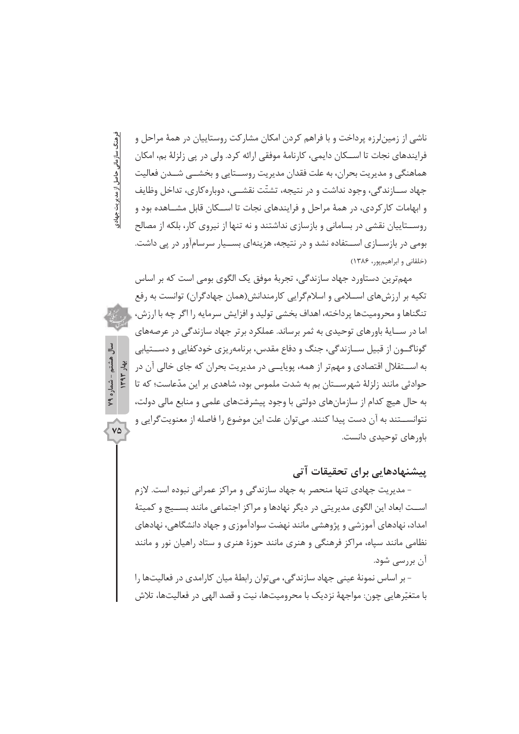ناشی از زمین لرزه پرداخت و با فراهم کردن امکان مشارکت روستاییان در همهٔ مراحل و فرايندهاي نجات تا اســـكان دايمي، كارنامهٔ موفقي ارائه كرد. ولي در پي زلزلهٔ بم، امكان هماهنگی و مدیریت بحران، به علت فقدان مدیریت روســتایی و بخشــی شــدن فعالیت جهاد ســازندگی، وجود نداشت و در نتیجه، تشتّت نقشــی، دوبارهکاری، تداخل وظایف و ابهامات کار کردی، در همهٔ مراحل و فرایندهای نجات تا اســکان قابل مشــاهده بود و روســتاییان نقشی در بسامانی و بازسازی نداشتند و نه تنها از نیروی کار، بلکه از مصالح بومی در بازســازی اســتفاده نشد و در نتیجه، هزینهای بســیار سرسامآور در یی داشت. (خلقانی و ابراهیم یور، ۱۳۸۶)

فرهنگ سازمانی حاصل از مدیریت جهادی

هشتم - شماره ۷۹

 $V\Delta$ 

مهمترین دستاورد جهاد سازندگی، تجربهٔ موفق یک الگوی بومی است که بر اساس تکیه بر ارزشهای اســلامی و اسلامگرایی کارمندانش(همان جهادگران) توانست به رفع تنگناها و محرومیتها پر داخته، اهداف بخشی تولید و افزایش سرمایه را اگر چه با ارزش، ا اما در ســايۀ باورهاي توحيدي به ثمر برساند. عملكرد برتر جهاد سازندگي در عرصههاي گوناگــون از قبیل ســازندگی، جنگ و دفاع مقدس، برنامه٫یزی خودکفایی و دســتیابی ITAT Jue به اســـتقلال اقتصادی و مهمتر از همه، پوپایــی در مدیریت بحران که جای خالی آن در حوادثی مانند زلزلهٔ شهرســتان بم به شدت ملموس بود، شاهدی بر این مدّعاست؛ که تا به حال هیچ کدام از سازمانهای دولتی با وجود پیشرفتهای علمی و منابع مالی دولت، نتوانســتند به آن دست پیدا کنند. میتوان علت این موضوع را فاصله از معنویت گرایی و ياورهاي توجيدي دانست.

# پیشنهادهایی برای تحقیقات آتی

- مدیریت جهادی تنها منحصر به جهاد سازندگی و مراکز عمرانی نبوده است. لازم اســت ابعاد اين الگوي مديريتي در ديگر نهادها و مراكز اجتماعي مانند بســيج و كميتهٔ امداد، نهادهای آموزشی و پژوهشی مانند نهضت سوادآموزی و جهاد دانشگاهی، نهادهای نظامی مانند سپاه، مراکز فرهنگی و هنری مانند حوزهٔ هنری و ستاد راهیان نور و مانند آن پررسے شود.

– ہر اساس نمونۂ عینی جھاد سازندگے، مے توان رابطۂ میان کارامدی در فعالیتھا را با متغیّرهایی چون: مواجههٔ نزدیک با محرومیتها، نیت و قصد الهی در فعالیتها، تلاش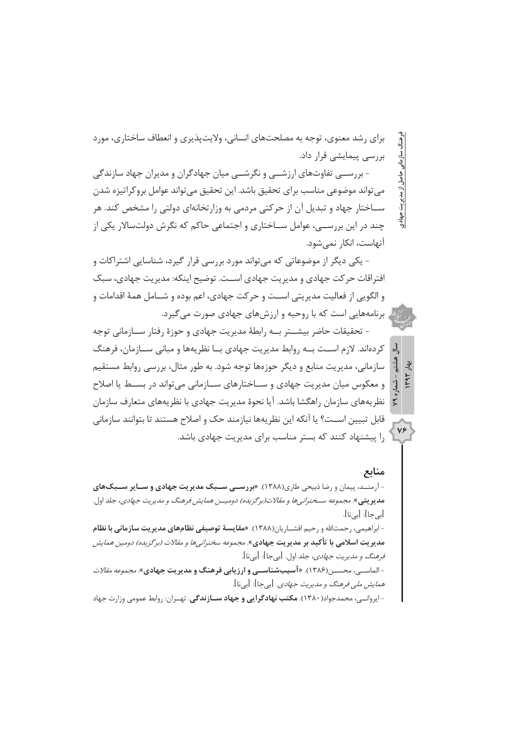برای رشد معنوی، توجه به مصلحتهای انسانی، ولایتپذیری و انعطاف ساختاری، مورد بررسی پیمایشی قرار داد.

- بررســي تفاوتهاي ارزشــي و نگرشــي ميان جهادگران و مديران جهاد سازندگي می تواند موضوعی مناسب برای تحقیق باشد. این تحقیق می تواند عوامل بروکراتیزه شدن ســاختار جهاد و تبدیل آن از حرکتی مردمی به وزارتخانهای دولتی را مشخص کند. هر چند در این بررســی، عوامل ســاختاری و اجتماعی حاکم که نگرش دولتسالار یکی از آنهاست، انکار نمے شود.

- یکی دیگر از موضوعاتی که مے تواند مورد بررسی قرار گیرد، شناسایی اشتراکات و افتراقات حر کت جهادی و مدیریت جهادی اســت. توضیح اینکه: مدیریت جهادی، سبک و الگويي از فعاليت مديريتي اســت و حركت جهادي، اعم بوده و شــامل همهٔ اقدامات و برنامههایی است که با روحیه و ارزش های جهادی صورت می گیرد.

– تحقیقات حاضر بیشـــتر بــه رابطهٔ مدیریت جهادی و حوزهٔ رفتار ســازمانی توجه کردهاند. لازم اســت بــه روابط مدیریت جهادی بــا نظریهها و میانی ســازمان، فرهنگ سازمانی، مدیریت منابع و دیگر حوزهها توجه شود. به طور مثال، بررسی روابط مستقیم و معکوس میان مدیریت جهادی و ســاختارهای ســازمانی میتواند در بســط یا اصلاح نظریههای سازمان راهگشا باشد. آیا نحوهٔ مدیریت جهادی با نظریههای متعارف سازمان قابل تبيين اســت؟ يا آنكه اين نظريهها نيازمند حک و اصلاح هستند تا بتوانند سازماني .<br>۱٫ بیشنهاد کنند که بستر مناسب برای مدیریت جهادی باشد.

# منابع

بديريت جهادي

 $\frac{1}{2}$ ېۋ

 $Vf$ 

- آرمنــد، پیمان و رضا ذبیحی طاری(۱۳۸۸). «**بررســی ســبک مدیریت جهادی و ســایر ســبک های مديريتي»**. مجموعه سـخنر*اني ها و مقالات(برگزيده) دوميــن همايش فرهنگ و مديريت جهادي، جلد اول.* [ہے جا]: [ہے نا].

- ابراهیمی، رحمتالله و رحیم افشــاریان(۱۳۸۸). «مقایسهٔ توصیفی نظامهای مدیریت سازمانی با نظام مدیریت اسلامی با تأکید بر مدیریت جهادی». *مجموعه سخنرانی ها و مقالات (برگزیده) دومین همایش فرهنگ و مدیریت جهادی*، جلد اول. [بیجا]: [بینا].

-الماسبي، محســ; (۱۳۸۶). «**آسيبشناســي وارزيابي فرهنگ و مديريت جهادي**». *مجموعه مقالات همايش ملي فرهنگ و مديريت جهادي.* [بي جا]: [بي نا].

- ایروانــی، محمدجواد(۱۳۸۰). **مکتب نهادگرایی و جهاد ســازندگی**. تهــران: روابط عمومی وزارت جهاد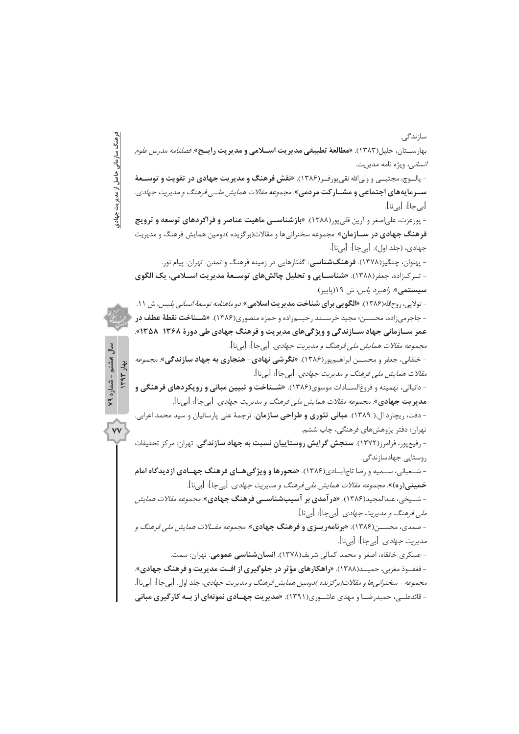سازندگے. نرهنگ سازمانی حاصل از مدیریت جهادی بهارســتان، جليل(١٣٨٣). «**مطالعهٔ تطبيقي مديريت اســلامي و مديريت رايــج**» *فصلنامه مدرس علوم انسانی*، ویژه نامه مدیریت. - بالـوچ، محتـــر و ولي الله نقر بورف(١٣٨۶). **«نقش فرهنگ و مدير بت حهادي در تقويت و توســعهٔ ســرمایههای اجتماعی و مشــار کت مردمی**». *مجموعه مقالات همایش ملــی فرهنگ و مدیریت جهادی.* [بي حا]: [بي نا]. - پورعزت، علیاصغر و آرین قلیپور(۱۳۸۸). «**بازشناســی ماهیت عناصر و فراگردهای توسعه و ترویج** فرهنگ جهادی در سـازمان». مجموعه سخنرانیها و مقالات(برگزیده )دومین همایش فرهنگ و مدیریت جهادي، (جلد اول). [بيجا]: [بينا]. - پهلوان، چنگیز(۱۳۷۸). **فرهنگشناسی**: گفتارهایی در زمینه فرهنگ و تمدن. تهران: پیام نور. - تـرکزاده، جعفر(۱۳۸۸). «شناسـایی و تحلیل چالشهای توسـعهٔ مدیریت اســلامی، یک الگوی سيستمي». *راهبرد ياس*، ش ١٩(پاييز). - تولايي، روح|لله(١٣٨۶). «**الگويي براي شناخت مديريت اسلامي**». *دو ماهنامه توسعهٔ انساني پليس*، ش ١١. - جاجرمی;اده، محســن؛ مجید خرســند رحیــم;اده و حمزه منصوری(۱۳۸۶). **«شــناخت نقطهٔ عطف در** عمر ســازمانی جهاد ســازندگی و ویژگیهای مدیریت و فرهنگ جهادی طی دورهٔ ۱۳۶۸-۱۳۵۸». مجموعه مقالات همايش ملي فرهنگ و مديريت جهادي. [بيجا]: [بينا]. سال هشتم - شماره ۷۹  $1444$   $142$ - خلقانی، جعفر و محســـن ابراهیم یور(۱۳۸۶). **«نگر شی نهادی- هنجاری به جهاد سازندگی**». *مجموعه مقالات همایش ملی فرهنگ و مدیریت جهادی*. [بیجا]: [بینا]. - دانیالی، تهمینه و فروغالســادات موسوی(۱۳۸۶). «**شــناخت و تبیین مبانی و رویکردهای فرهنگی و** م**دیریت جهادی»** م*جموعه مقالات همایش ملی فرهنگ و مدیریت جهادی*. [بیجا]: [بینا]. - دفت، ریچارد ال.( ۱۳۸۹). **مبانی تئوری و طراحی سازمان**. ترجمهٔ علی پارسائیان و سید محمد اعرابی.  $\overline{v}$ تهران: دفتر پژوهشهای فرهنگی، چاپ ششم. - رفیع یور، فرامرز(۱۳۷۲). **سنجش گرایش روستاییان نسبت به جهاد سازندگی**. تهران: مرکز تحقیقات روستایی جهادسازندگی. - شـعباني، سـميه و رضا تاج آبــادي(۱۳۸۶). «محورها و ويژگىهــاى فرهنگ جهــادى ازديدگاه امام **خمینی(ره)».** م*جموعه مقالات همایش ملی فرهنگ و مدیریت جهادی*. [بی جا]: [بی نا]. - شــیخی، عبدالمجید(۱۳۸۶). «**در آمدی بر آسیبشناســی فرهنگ جهادی**». *مجموعه مقالات همایش ملي فرهنگ و مديريت جهادي.* [بي جا]: [بي نا]. - صمدی، محســن(۱۳۸۶). «**برنامهریــزی و فرهنگ جهادی**». *مجموعه مقــالات همایش ملی فرهنگ و مدیریت حہادی.* [پی حا]: [پی نا]. - عسکری خانقاه، اصغر و محمد کمالی شریف(۱۳۷۸). **انسانشناسی عمومی**. تهران: سمت. -فغفوذ مغربی، حمیــد(۱۳۸۸). «راهکارهای مؤثر در جلوگیری از افــت مدیریت و فرهنگ جهادی». *مجموعه - سخنراني ها و مقالات(برگزيده )دومين همايش فرهنگ و مديريت جهادي*، جلد اول. [بي جا]: [بيil]. - قائدعلــی، حمیدرضــا و مهدی عاشــوری(۱۳۹۱). **«مدیریت جهــادی نمونهای از بــه کار گیری مبانی**